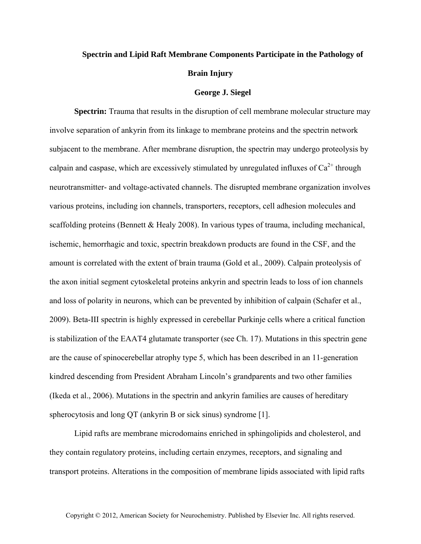## **Spectrin and Lipid Raft Membrane Components Participate in the Pathology of Brain Injury**

## **George J. Siegel**

**Spectrin:** Trauma that results in the disruption of cell membrane molecular structure may involve separation of ankyrin from its linkage to membrane proteins and the spectrin network subjacent to the membrane. After membrane disruption, the spectrin may undergo proteolysis by calpain and caspase, which are excessively stimulated by unregulated influxes of  $Ca^{2+}$  through neurotransmitter- and voltage-activated channels. The disrupted membrane organization involves various proteins, including ion channels, transporters, receptors, cell adhesion molecules and scaffolding proteins (Bennett & Healy 2008). In various types of trauma, including mechanical, ischemic, hemorrhagic and toxic, spectrin breakdown products are found in the CSF, and the amount is correlated with the extent of brain trauma (Gold et al., 2009). Calpain proteolysis of the axon initial segment cytoskeletal proteins ankyrin and spectrin leads to loss of ion channels and loss of polarity in neurons, which can be prevented by inhibition of calpain (Schafer et al., 2009). Beta-III spectrin is highly expressed in cerebellar Purkinje cells where a critical function is stabilization of the EAAT4 glutamate transporter (see Ch. 17). Mutations in this spectrin gene are the cause of spinocerebellar atrophy type 5, which has been described in an 11-generation kindred descending from President Abraham Lincoln's grandparents and two other families (Ikeda et al., 2006). Mutations in the spectrin and ankyrin families are causes of hereditary spherocytosis and long QT (ankyrin B or sick sinus) syndrome [1].

Lipid rafts are membrane microdomains enriched in sphingolipids and cholesterol, and they contain regulatory proteins, including certain enzymes, receptors, and signaling and transport proteins. Alterations in the composition of membrane lipids associated with lipid rafts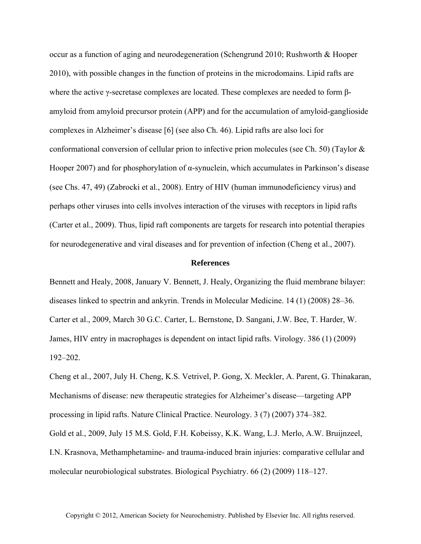occur as a function of aging and neurodegeneration (Schengrund 2010; Rushworth & Hooper 2010), with possible changes in the function of proteins in the microdomains. Lipid rafts are where the active γ-secretase complexes are located. These complexes are needed to form βamyloid from amyloid precursor protein (APP) and for the accumulation of amyloid-ganglioside complexes in Alzheimer's disease [6] (see also Ch. 46). Lipid rafts are also loci for conformational conversion of cellular prion to infective prion molecules (see Ch. 50) (Taylor & Hooper 2007) and for phosphorylation of  $\alpha$ -synuclein, which accumulates in Parkinson's disease (see Chs. 47, 49) (Zabrocki et al., 2008). Entry of HIV (human immunodeficiency virus) and perhaps other viruses into cells involves interaction of the viruses with receptors in lipid rafts (Carter et al., 2009). Thus, lipid raft components are targets for research into potential therapies for neurodegenerative and viral diseases and for prevention of infection (Cheng et al., 2007).

## **References**

Bennett and Healy, 2008, January V. Bennett, J. Healy, Organizing the fluid membrane bilayer: diseases linked to spectrin and ankyrin. Trends in Molecular Medicine. 14 (1) (2008) 28–36. Carter et al., 2009, March 30 G.C. Carter, L. Bernstone, D. Sangani, J.W. Bee, T. Harder, W. James, HIV entry in macrophages is dependent on intact lipid rafts. Virology. 386 (1) (2009) 192–202.

Cheng et al., 2007, July H. Cheng, K.S. Vetrivel, P. Gong, X. Meckler, A. Parent, G. Thinakaran, Mechanisms of disease: new therapeutic strategies for Alzheimer's disease—targeting APP processing in lipid rafts. Nature Clinical Practice. Neurology. 3 (7) (2007) 374–382. Gold et al., 2009, July 15 M.S. Gold, F.H. Kobeissy, K.K. Wang, L.J. Merlo, A.W. Bruijnzeel, I.N. Krasnova, Methamphetamine- and trauma-induced brain injuries: comparative cellular and molecular neurobiological substrates. Biological Psychiatry. 66 (2) (2009) 118–127.